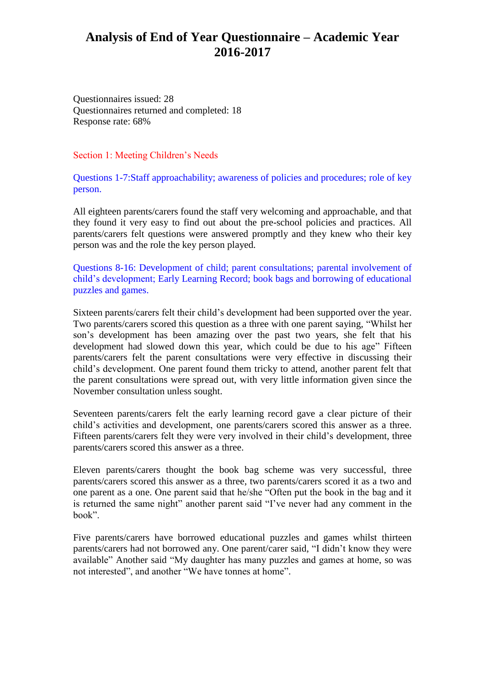Questionnaires issued: 28 Questionnaires returned and completed: 18 Response rate: 68%

Section 1: Meeting Children's Needs

Questions 1-7:Staff approachability; awareness of policies and procedures; role of key person.

All eighteen parents/carers found the staff very welcoming and approachable, and that they found it very easy to find out about the pre-school policies and practices. All parents/carers felt questions were answered promptly and they knew who their key person was and the role the key person played.

Questions 8-16: Development of child; parent consultations; parental involvement of child's development; Early Learning Record; book bags and borrowing of educational puzzles and games.

Sixteen parents/carers felt their child's development had been supported over the year. Two parents/carers scored this question as a three with one parent saying, "Whilst her son's development has been amazing over the past two years, she felt that his development had slowed down this year, which could be due to his age" Fifteen parents/carers felt the parent consultations were very effective in discussing their child's development. One parent found them tricky to attend, another parent felt that the parent consultations were spread out, with very little information given since the November consultation unless sought.

Seventeen parents/carers felt the early learning record gave a clear picture of their child's activities and development, one parents/carers scored this answer as a three. Fifteen parents/carers felt they were very involved in their child's development, three parents/carers scored this answer as a three.

Eleven parents/carers thought the book bag scheme was very successful, three parents/carers scored this answer as a three, two parents/carers scored it as a two and one parent as a one. One parent said that he/she "Often put the book in the bag and it is returned the same night" another parent said "I've never had any comment in the book".

Five parents/carers have borrowed educational puzzles and games whilst thirteen parents/carers had not borrowed any. One parent/carer said, "I didn't know they were available" Another said "My daughter has many puzzles and games at home, so was not interested", and another "We have tonnes at home".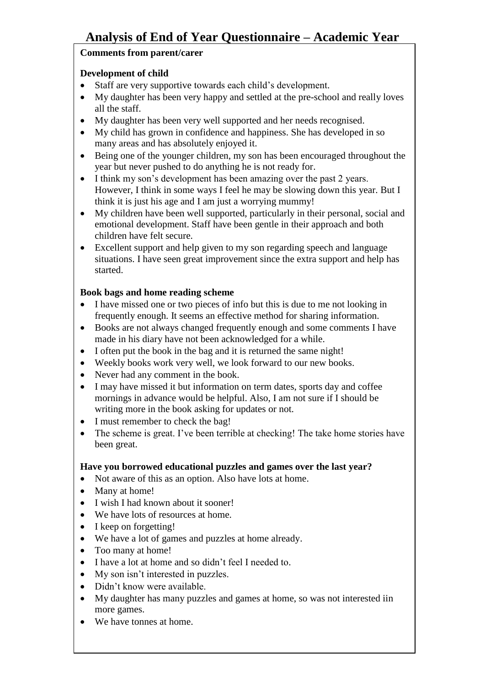## **Comments from parent/carer**

## **Development of child**

- Staff are very supportive towards each child's development.
- My daughter has been very happy and settled at the pre-school and really loves all the staff.
- My daughter has been very well supported and her needs recognised.
- My child has grown in confidence and happiness. She has developed in so many areas and has absolutely enjoyed it.
- Being one of the younger children, my son has been encouraged throughout the year but never pushed to do anything he is not ready for.
- I think my son's development has been amazing over the past 2 years. However, I think in some ways I feel he may be slowing down this year. But I think it is just his age and I am just a worrying mummy!
- My children have been well supported, particularly in their personal, social and emotional development. Staff have been gentle in their approach and both children have felt secure.
- Excellent support and help given to my son regarding speech and language situations. I have seen great improvement since the extra support and help has started.

## **Book bags and home reading scheme**

- I have missed one or two pieces of info but this is due to me not looking in frequently enough. It seems an effective method for sharing information.
- Books are not always changed frequently enough and some comments I have made in his diary have not been acknowledged for a while.
- I often put the book in the bag and it is returned the same night!
- Weekly books work very well, we look forward to our new books.
- Never had any comment in the book.
- I may have missed it but information on term dates, sports day and coffee mornings in advance would be helpful. Also, I am not sure if I should be writing more in the book asking for updates or not.
- I must remember to check the bag!
- The scheme is great. I've been terrible at checking! The take home stories have been great.

### **Have you borrowed educational puzzles and games over the last year?**

- Not aware of this as an option. Also have lots at home.
- Many at home!
- I wish I had known about it sooner!
- We have lots of resources at home.
- I keep on forgetting!
- We have a lot of games and puzzles at home already.
- Too many at home!
- I have a lot at home and so didn't feel I needed to.
- My son isn't interested in puzzles.
- Didn't know were available.
- My daughter has many puzzles and games at home, so was not interested iin more games.
- We have tonnes at home.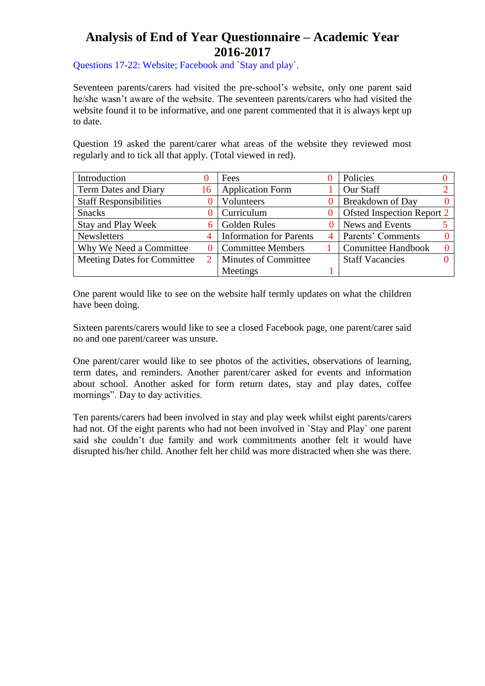Questions 17-22: Website; Facebook and `Stay and play`.

Seventeen parents/carers had visited the pre-school's website, only one parent said he/she wasn't aware of the website. The seventeen parents/carers who had visited the website found it to be informative, and one parent commented that it is always kept up to date.

Question 19 asked the parent/carer what areas of the website they reviewed most regularly and to tick all that apply. (Total viewed in red).

| Introduction                       |    | Fees                           |          | Policies                   |              |
|------------------------------------|----|--------------------------------|----------|----------------------------|--------------|
| Term Dates and Diary               | 16 | <b>Application Form</b>        |          | Our Staff                  |              |
| <b>Staff Responsibilities</b>      |    | Volunteers                     |          | <b>Breakdown of Day</b>    |              |
| <b>Snacks</b>                      |    | Curriculum                     | $\theta$ | Ofsted Inspection Report 2 |              |
| Stay and Play Week                 |    | <b>Golden Rules</b>            |          | News and Events            |              |
| <b>Newsletters</b>                 |    | <b>Information for Parents</b> | 4        | Parents' Comments          | $\mathbf{0}$ |
| Why We Need a Committee            |    | <b>Committee Members</b>       |          | <b>Committee Handbook</b>  | $\Omega$     |
| <b>Meeting Dates for Committee</b> |    | Minutes of Committee           |          | <b>Staff Vacancies</b>     |              |
|                                    |    | Meetings                       |          |                            |              |

One parent would like to see on the website half termly updates on what the children have been doing.

Sixteen parents/carers would like to see a closed Facebook page, one parent/carer said no and one parent/career was unsure.

One parent/carer would like to see photos of the activities, observations of learning, term dates, and reminders. Another parent/carer asked for events and information about school. Another asked for form return dates, stay and play dates, coffee mornings". Day to day activities.

Ten parents/carers had been involved in stay and play week whilst eight parents/carers had not. Of the eight parents who had not been involved in `Stay and Play` one parent said she couldn't due family and work commitments another felt it would have disrupted his/her child. Another felt her child was more distracted when she was there.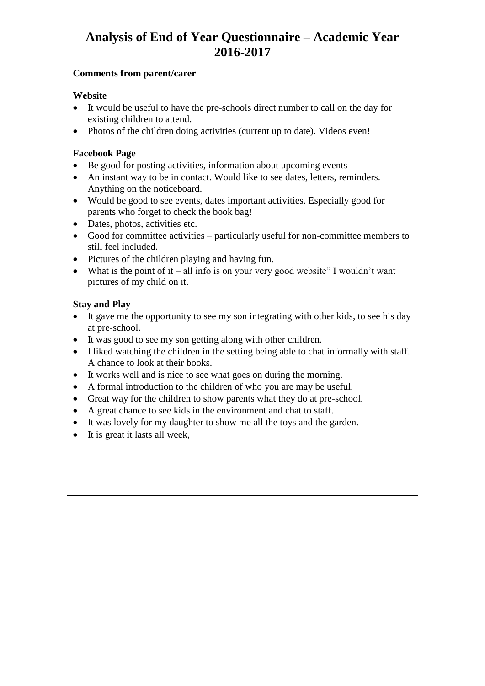## **Comments from parent/carer**

## **Website**

- It would be useful to have the pre-schools direct number to call on the day for existing children to attend.
- Photos of the children doing activities (current up to date). Videos even!

## **Facebook Page**

- Be good for posting activities, information about upcoming events
- An instant way to be in contact. Would like to see dates, letters, reminders. Anything on the noticeboard.
- Would be good to see events, dates important activities. Especially good for parents who forget to check the book bag!
- Dates, photos, activities etc.
- Good for committee activities particularly useful for non-committee members to still feel included.
- Pictures of the children playing and having fun.
- What is the point of it all info is on your very good website" I wouldn't want pictures of my child on it.

## **Stay and Play**

- It gave me the opportunity to see my son integrating with other kids, to see his day at pre-school.
- It was good to see my son getting along with other children.
- I liked watching the children in the setting being able to chat informally with staff. A chance to look at their books.
- It works well and is nice to see what goes on during the morning.
- A formal introduction to the children of who you are may be useful.
- Great way for the children to show parents what they do at pre-school.
- A great chance to see kids in the environment and chat to staff.
- It was lovely for my daughter to show me all the toys and the garden.
- It is great it lasts all week,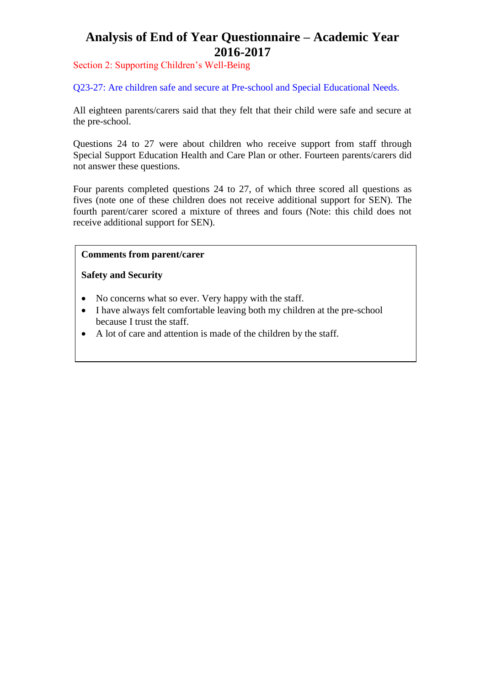Section 2: Supporting Children's Well-Being

Q23-27: Are children safe and secure at Pre-school and Special Educational Needs.

All eighteen parents/carers said that they felt that their child were safe and secure at the pre-school.

Questions 24 to 27 were about children who receive support from staff through Special Support Education Health and Care Plan or other. Fourteen parents/carers did not answer these questions.

Four parents completed questions 24 to 27, of which three scored all questions as fives (note one of these children does not receive additional support for SEN). The fourth parent/carer scored a mixture of threes and fours (Note: this child does not receive additional support for SEN).

## **Comments from parent/carer**

**Safety and Security**

- No concerns what so ever. Very happy with the staff.
- I have always felt comfortable leaving both my children at the pre-school because I trust the staff.
- A lot of care and attention is made of the children by the staff.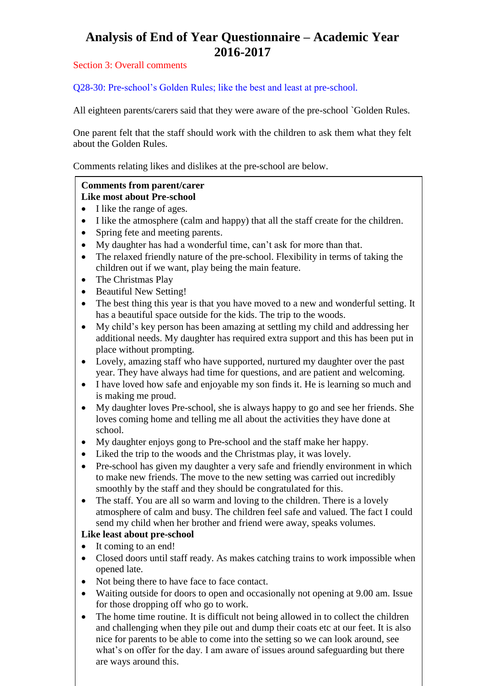### Section 3: Overall comments

Q28-30: Pre-school's Golden Rules; like the best and least at pre-school.

All eighteen parents/carers said that they were aware of the pre-school `Golden Rules.

One parent felt that the staff should work with the children to ask them what they felt about the Golden Rules.

Comments relating likes and dislikes at the pre-school are below.

#### **Comments from parent/carer Like most about Pre-school**

- I like the range of ages.
- I like the atmosphere (calm and happy) that all the staff create for the children.
- Spring fete and meeting parents.
- My daughter has had a wonderful time, can't ask for more than that.
- The relaxed friendly nature of the pre-school. Flexibility in terms of taking the children out if we want, play being the main feature.
- The Christmas Play
- Beautiful New Setting!
- The best thing this year is that you have moved to a new and wonderful setting. It has a beautiful space outside for the kids. The trip to the woods.
- My child's key person has been amazing at settling my child and addressing her additional needs. My daughter has required extra support and this has been put in place without prompting.
- Lovely, amazing staff who have supported, nurtured my daughter over the past year. They have always had time for questions, and are patient and welcoming.
- I have loved how safe and enjoyable my son finds it. He is learning so much and is making me proud.
- My daughter loves Pre-school, she is always happy to go and see her friends. She loves coming home and telling me all about the activities they have done at school.
- My daughter enjoys gong to Pre-school and the staff make her happy.
- Liked the trip to the woods and the Christmas play, it was lovely.
- Pre-school has given my daughter a very safe and friendly environment in which to make new friends. The move to the new setting was carried out incredibly smoothly by the staff and they should be congratulated for this.
- The staff. You are all so warm and loving to the children. There is a lovely atmosphere of calm and busy. The children feel safe and valued. The fact I could send my child when her brother and friend were away, speaks volumes.

### **Like least about pre-school**

- It coming to an end!
- Closed doors until staff ready. As makes catching trains to work impossible when opened late.
- Not being there to have face to face contact.
- Waiting outside for doors to open and occasionally not opening at 9.00 am. Issue for those dropping off who go to work.
- The home time routine. It is difficult not being allowed in to collect the children and challenging when they pile out and dump their coats etc at our feet. It is also nice for parents to be able to come into the setting so we can look around, see what's on offer for the day. I am aware of issues around safeguarding but there are ways around this.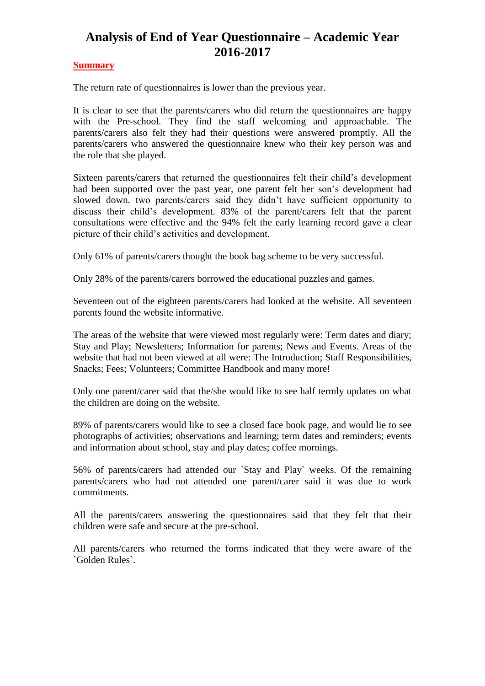### **Summary**

The return rate of questionnaires is lower than the previous year.

It is clear to see that the parents/carers who did return the questionnaires are happy with the Pre-school. They find the staff welcoming and approachable. The parents/carers also felt they had their questions were answered promptly. All the parents/carers who answered the questionnaire knew who their key person was and the role that she played.

Sixteen parents/carers that returned the questionnaires felt their child's development had been supported over the past year, one parent felt her son's development had slowed down. two parents/carers said they didn't have sufficient opportunity to discuss their child's development. 83% of the parent/carers felt that the parent consultations were effective and the 94% felt the early learning record gave a clear picture of their child's activities and development.

Only 61% of parents/carers thought the book bag scheme to be very successful.

Only 28% of the parents/carers borrowed the educational puzzles and games.

Seventeen out of the eighteen parents/carers had looked at the website. All seventeen parents found the website informative.

The areas of the website that were viewed most regularly were: Term dates and diary; Stay and Play; Newsletters; Information for parents; News and Events. Areas of the website that had not been viewed at all were: The Introduction; Staff Responsibilities, Snacks; Fees; Volunteers; Committee Handbook and many more!

Only one parent/carer said that the/she would like to see half termly updates on what the children are doing on the website.

89% of parents/carers would like to see a closed face book page, and would lie to see photographs of activities; observations and learning; term dates and reminders; events and information about school, stay and play dates; coffee mornings.

56% of parents/carers had attended our `Stay and Play` weeks. Of the remaining parents/carers who had not attended one parent/carer said it was due to work commitments.

All the parents/carers answering the questionnaires said that they felt that their children were safe and secure at the pre-school.

All parents/carers who returned the forms indicated that they were aware of the `Golden Rules`.